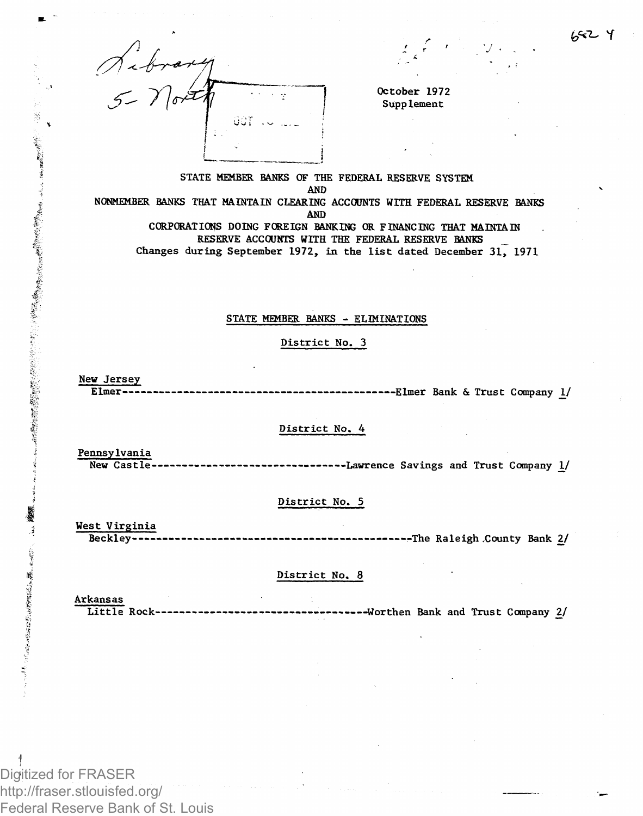

October 1972 Supplement

# STATE MEMBER BANKS OF THE FEDERAL RESERVE SYSTEM AND

NONMEMBER BANKS THAT MAINTAIN CLEARING ACCOUNTS WITH FEDERAL RESERVE BANKS AND

CORPORATIONS DOING FOREIGN BANKING OR FINANCING THAT MAINTAIN RESERVE ACCOUNTS WITH THE FEDERAL RESERVE BANKS Changes during September 1972, in the list dated December 31, 1971

#### STATE MEMBER BANKS - ELIMINATIONS

#### District No. 3

#### New Jersey Elmer •Elmer Bank & Trust Company \_!/

#### District No. 4

Pennsylvania

 $\label{eq:recon} \mathbf{r}_{\mathbf{q}^{(k)}\mathbf{q}^{(k)}\mathbf{q}^{(k)}\mathbf{q}^{(k)}\mathbf{q}^{(k)}\mathbf{q}^{(k)}\mathbf{q}^{(k)}\mathbf{q}^{(k)}\mathbf{q}^{(k)}\mathbf{q}^{(k)}\mathbf{q}^{(k)}\mathbf{q}^{(k)}\mathbf{q}^{(k)}\mathbf{q}^{(k)}\mathbf{q}^{(k)}\mathbf{q}^{(k)}\mathbf{q}^{(k)}\mathbf{q}^{(k)}\mathbf{q}^{(k)}\mathbf{q}^{(k)}\mathbf{q}$ 

「一番の最ものに、このことは、そのことを見るので、そのことに、このことに、このことに、このことに、このことに、このことは、このことは、このことを見るのです。

大学者、戦の時間にあることになる ちゅうちゃく

New Castle------------------------------Lawrence Savings and Trust Company 1/

# District No. 5

West Virginia Beckley -The Raleig h -County Bank 2/

### District No. 8

Arkansas<br>Little Rock---------Littl e Rock- —Worthen Bank and Trust Company *2/*

Digitized for FRASER http://fraser.stlouisfed.org/ Federal Reserve Bank of St. Louis